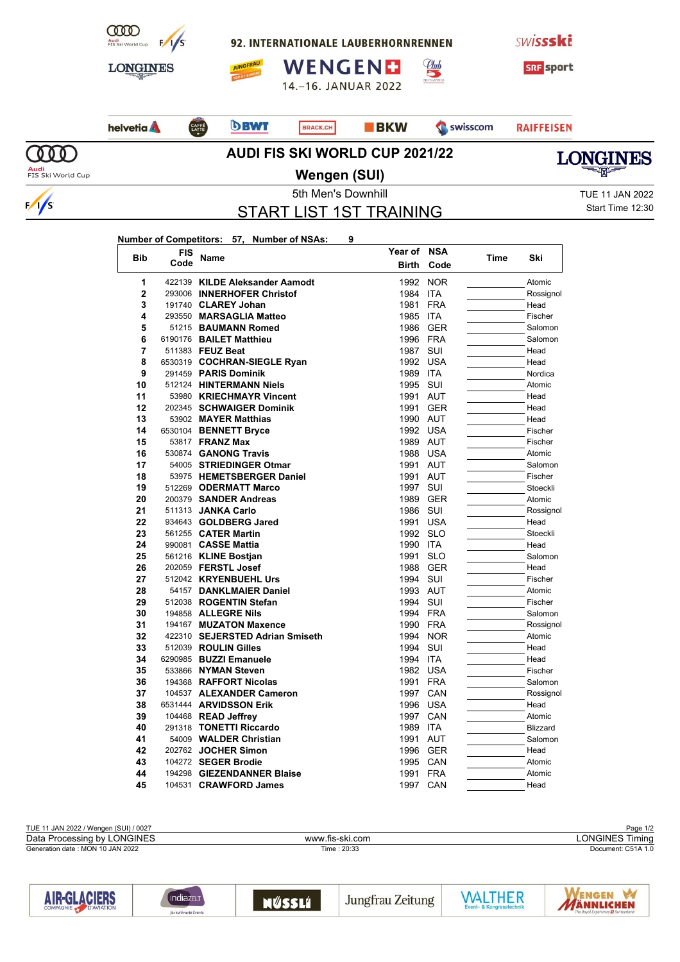

92. INTERNATIONALE LAUBERHORNRENNEN

**SWISSSKE** 



WENGEND 14.-16. JANUAR 2022





**JUNGFRAU** 

 $\overline{OPE}$ 

## **BKW** Swisscom

Club

**RAIFFEISEN** 



 $\frac{1}{s}$ 

## **AUDI FIS SKI WORLD CUP 2021/22**



**Audi**<br>FIS Ski World Cup

**Wengen (SUI)**

START LIST 1ST TRAINING

5th Men's Downhill **TUE 11 JAN 2022** Start Time 12:30

## **Number of Competitors: 57, Number of NSAs: 9**

| <b>Bib</b>   | <b>FIS</b> | <b>Name</b>                     | Year of      | <b>NSA</b> | Time | Ski             |
|--------------|------------|---------------------------------|--------------|------------|------|-----------------|
|              | Code       |                                 | <b>Birth</b> | Code       |      |                 |
| 1            |            | 422139 KILDE Aleksander Aamodt  | 1992         | <b>NOR</b> |      | Atomic          |
| $\mathbf{2}$ |            | 293006 INNERHOFER Christof      | 1984         | <b>ITA</b> |      | Rossignol       |
| 3            |            | 191740 CLAREY Johan             | 1981         | <b>FRA</b> |      | Head            |
| 4            |            | 293550 MARSAGLIA Matteo         | 1985         | <b>ITA</b> |      | Fischer         |
| 5            |            | 51215 BAUMANN Romed             | 1986         | <b>GER</b> |      | Salomon         |
| 6            |            | 6190176 BAILET Matthieu         | 1996 FRA     |            |      | Salomon         |
| 7            |            | 511383 FEUZ Beat                | 1987         | SUI        |      | Head            |
| 8            |            | 6530319 COCHRAN-SIEGLE Ryan     | 1992         | <b>USA</b> |      | Head            |
| 9            |            | 291459 PARIS Dominik            | 1989         | <b>ITA</b> |      | Nordica         |
| 10           |            | 512124 HINTERMANN Niels         | 1995         | SUI        |      | Atomic          |
| 11           |            | 53980 KRIECHMAYR Vincent        | 1991         | AUT        |      | Head            |
| 12           |            | 202345 SCHWAIGER Dominik        | 1991         | <b>GER</b> |      | Head            |
| 13           |            | 53902 MAYER Matthias            | 1990 AUT     |            |      | Head            |
| 14           |            | 6530104 BENNETT Bryce           | 1992         | <b>USA</b> |      | Fischer         |
| 15           |            | 53817 <b>FRANZ Max</b>          | 1989 AUT     |            |      | Fischer         |
| 16           |            | 530874 GANONG Travis            | 1988         | <b>USA</b> |      | Atomic          |
| 17           |            | 54005 STRIEDINGER Otmar         | 1991         | AUT        |      | Salomon         |
| 18           |            | 53975 HEMETSBERGER Daniel       | 1991         | AUT        |      | Fischer         |
| 19           |            | 512269 ODERMATT Marco           | 1997         | SUI        |      | Stoeckli        |
| 20           |            | 200379 SANDER Andreas           | 1989         | <b>GER</b> |      | Atomic          |
| 21           |            | 511313 JANKA Carlo              | 1986         | SUI        |      | Rossignol       |
| 22           |            | 934643 GOLDBERG Jared           | 1991         | <b>USA</b> |      | Head            |
| 23           |            | 561255 CATER Martin             | 1992         | <b>SLO</b> |      | Stoeckli        |
| 24           |            | 990081 CASSE Mattia             | 1990         | <b>ITA</b> |      | Head            |
| 25           |            | 561216 KLINE Bostjan            | 1991         | <b>SLO</b> |      | Salomon         |
| 26           |            | 202059 FERSTL Josef             | 1988         | <b>GER</b> |      | Head            |
| 27           |            | 512042 KRYENBUEHL Urs           | 1994         | SUI        |      | Fischer         |
| 28           |            | 54157 DANKLMAIER Daniel         | 1993         | AUT        |      | Atomic          |
| 29           |            | 512038 ROGENTIN Stefan          | 1994         | SUI        |      | Fischer         |
| 30           |            | 194858 ALLEGRE Nils             | 1994 FRA     |            |      | Salomon         |
| 31           |            | 194167 MUZATON Maxence          | 1990         | <b>FRA</b> |      | Rossignol       |
| 32           |            | 422310 SEJERSTED Adrian Smiseth | 1994         | <b>NOR</b> |      | Atomic          |
| 33           |            | 512039 ROULIN Gilles            | 1994         | SUI        |      | Head            |
| 34           |            | 6290985 BUZZI Emanuele          | 1994         | <b>ITA</b> |      | Head            |
| 35           |            | 533866 NYMAN Steven             | 1982         | <b>USA</b> |      | Fischer         |
| 36           |            | 194368 RAFFORT Nicolas          | 1991         | <b>FRA</b> |      | Salomon         |
| 37           |            | 104537 ALEXANDER Cameron        | 1997         | CAN        |      | Rossignol       |
| 38           |            | 6531444 ARVIDSSON Erik          | 1996         | <b>USA</b> |      | Head            |
| 39           |            | 104468 READ Jeffrey             | 1997         | CAN        |      | Atomic          |
| 40           |            | 291318 TONETTI Riccardo         | 1989         | <b>ITA</b> |      | <b>Blizzard</b> |
| 41           |            | 54009 WALDER Christian          | 1991         | <b>AUT</b> |      | Salomon         |
| 42           |            | 202762 JOCHER Simon             | 1996         | <b>GER</b> |      | Head            |
| 43           |            | 104272 SEGER Brodie             | 1995         | CAN        |      | Atomic          |
| 44           |            | 194298 GIEZENDANNER Blaise      | 1991         | <b>FRA</b> |      | Atomic          |
| 45           |            | 104531 CRAWFORD James           | 1997         | CAN        |      | Head            |

| TUE 11 JAN 2022 / Wengen (SUI) / 0027 |                 | Page 1/2               |
|---------------------------------------|-----------------|------------------------|
| Data Processing by LONGINES           | www.fis-ski.com | LONGINES Tir<br>Fiminc |
| Generation date: MON 10 JAN 2022      | Time: 20:33     | Document: C51A 1.0     |
|                                       |                 |                        |